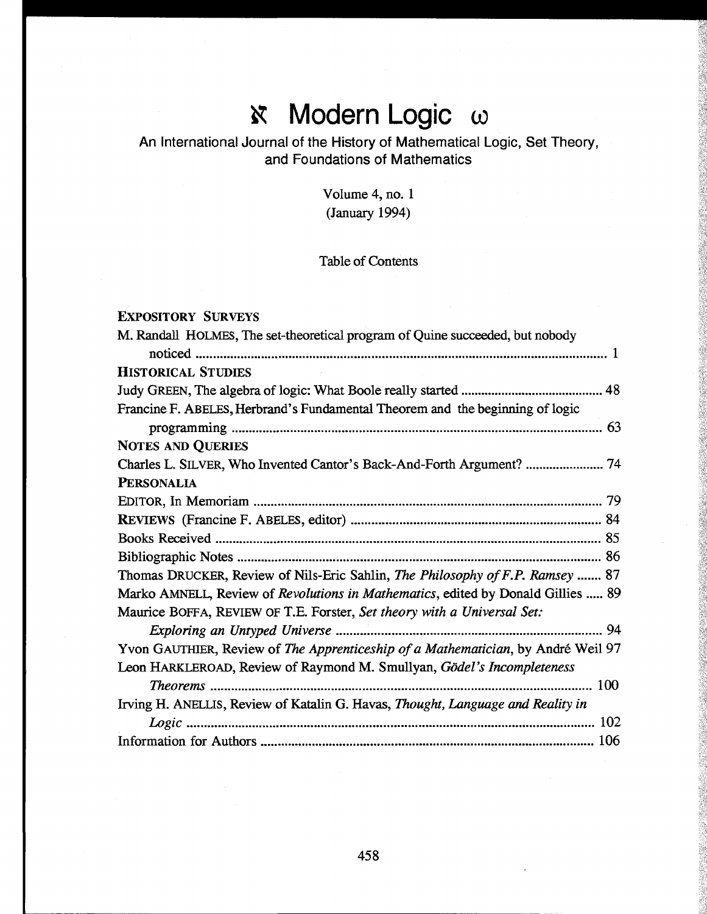# **i** Modern Logic ω

# An International Journal of the History of Mathematical Logic, Set Theory, and Foundations of Mathematics

Volume 4, no. 1 (January 1994)

## Table of Contents

### EXPOSITORY SURVEYS

| M. Randall HOLMES, The set-theoretical program of Quine succeeded, but nobody          |
|----------------------------------------------------------------------------------------|
|                                                                                        |
| <b>HISTORICAL STUDIES</b>                                                              |
|                                                                                        |
| Francine F. ABELES, Herbrand's Fundamental Theorem and the beginning of logic          |
|                                                                                        |
| <b>NOTES AND QUERIES</b>                                                               |
| Charles L. SILVER, Who Invented Cantor's Back-And-Forth Argument?  74                  |
| <b>PERSONALIA</b>                                                                      |
|                                                                                        |
|                                                                                        |
|                                                                                        |
|                                                                                        |
| Thomas DRUCKER, Review of Nils-Eric Sahlin, The Philosophy of F.P. Ramsey  87          |
| Marko AMNELL, Review of Revolutions in Mathematics, edited by Donald Gillies  89       |
| Maurice BOFFA, REVIEW OF T.E. Forster, Set theory with a Universal Set:                |
|                                                                                        |
| Yvon GAUTHIER, Review of The Apprenticeship of a Mathematician, by André Weil 97       |
| Leon HARKLEROAD, Review of Raymond M. Smullyan, Gödel's Incompleteness                 |
| 100                                                                                    |
| Irving H. ANELLIS, Review of Katalin G. Havas, <i>Thought, Language and Reality in</i> |
| 102                                                                                    |
|                                                                                        |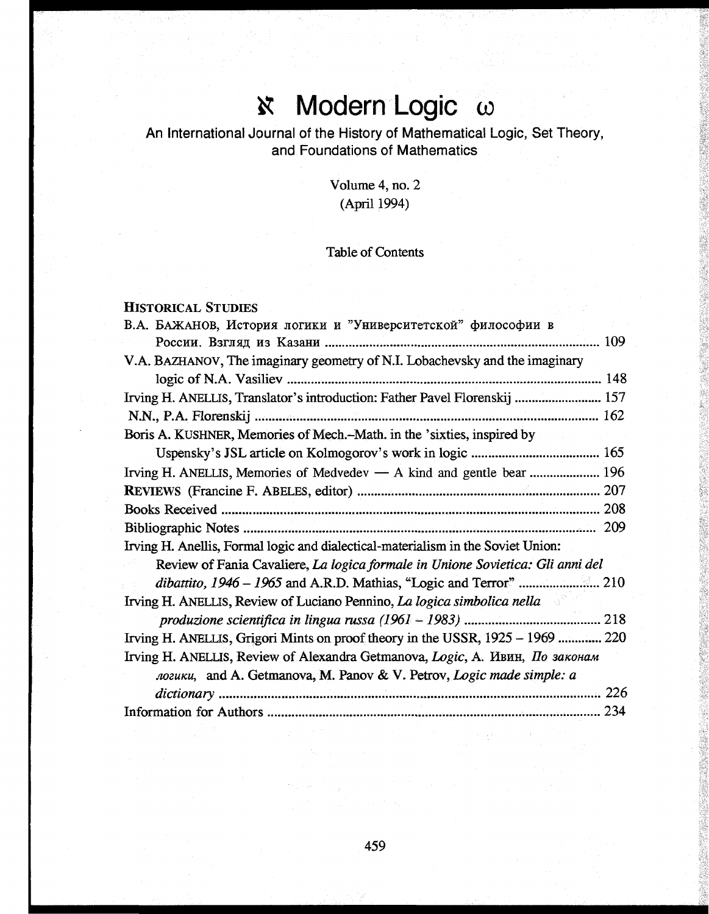### Modern Logic  $\omega$  $\aleph$

## An International Journal of the History of Mathematical Logic, Set Theory, and Foundations of Mathematics

Volume 4, no. 2 (April 1994)

### Table of Contents

#### HISTORICAL STUDIES

| В.А. БАЖАНОВ, История логики и "Университетской" философии в                     |  |
|----------------------------------------------------------------------------------|--|
|                                                                                  |  |
| V.A. BAZHANOV, The imaginary geometry of N.I. Lobachevsky and the imaginary      |  |
|                                                                                  |  |
| Irving H. ANELLIS, Translator's introduction: Father Pavel Florenskij  157       |  |
|                                                                                  |  |
| Boris A. KUSHNER, Memories of Mech.–Math. in the 'sixties, inspired by           |  |
|                                                                                  |  |
| Irving H. ANELLIS, Memories of Medvedev - A kind and gentle bear  196            |  |
|                                                                                  |  |
|                                                                                  |  |
|                                                                                  |  |
| Irving H. Anellis, Formal logic and dialectical-materialism in the Soviet Union: |  |
| Review of Fania Cavaliere, La logica formale in Unione Sovietica: Gli anni del   |  |
|                                                                                  |  |
| Irving H. ANELLIS, Review of Luciano Pennino, La logica simbolica nella          |  |
|                                                                                  |  |
| Irving H. ANELLIS, Grigori Mints on proof theory in the USSR, 1925 – 1969  220   |  |
| Irving H. ANELLIS, Review of Alexandra Getmanova, Logic, A. Ивин, По законам     |  |
| логики, and A. Getmanova, M. Panov & V. Petrov, Logic made simple: a             |  |
|                                                                                  |  |
|                                                                                  |  |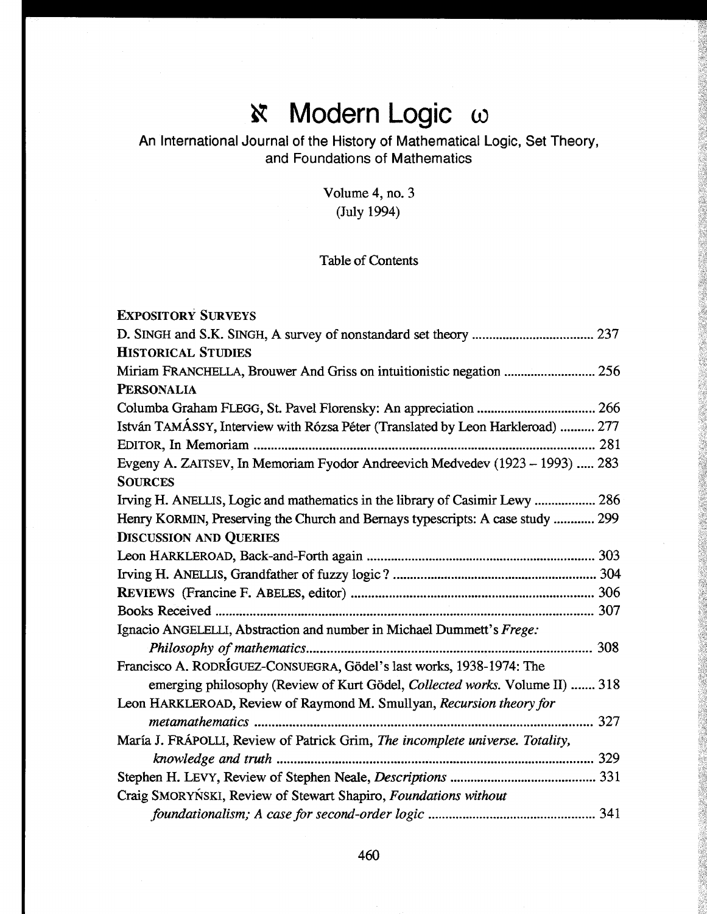# *N* Modern Logic ω

# An International Journal of the History of Mathematical Logic, Set Theory, and Foundations of Mathematics

Volume 4, no. 3 (July 1994)

## Table of Contents

| <b>EXPOSITORY SURVEYS</b>                                                       |
|---------------------------------------------------------------------------------|
|                                                                                 |
| <b>HISTORICAL STUDIES</b>                                                       |
| Miriam FRANCHELLA, Brouwer And Griss on intuitionistic negation  256            |
| <b>PERSONALIA</b>                                                               |
|                                                                                 |
| István TAMÁSSY, Interview with Rózsa Péter (Translated by Leon Harkleroad)  277 |
|                                                                                 |
| Evgeny A. ZAITSEV, In Memoriam Fyodor Andreevich Medvedev (1923 – 1993)  283    |
| <b>SOURCES</b>                                                                  |
| Irving H. ANELLIS, Logic and mathematics in the library of Casimir Lewy  286    |
| Henry KORMIN, Preserving the Church and Bernays typescripts: A case study  299  |
| <b>DISCUSSION AND QUERIES</b>                                                   |
|                                                                                 |
|                                                                                 |
|                                                                                 |
|                                                                                 |
| Ignacio ANGELELLI, Abstraction and number in Michael Dummett's Frege:           |
|                                                                                 |
| Francisco A. RODRÍGUEZ-CONSUEGRA, Gödel's last works, 1938-1974: The            |
| emerging philosophy (Review of Kurt Gödel, Collected works. Volume II)  318     |
| Leon HARKLEROAD, Review of Raymond M. Smullyan, Recursion theory for            |
|                                                                                 |
| María J. FRÁPOLLI, Review of Patrick Grim, The incomplete universe. Totality,   |
|                                                                                 |
|                                                                                 |
| Craig SMORYŃSKI, Review of Stewart Shapiro, Foundations without                 |
|                                                                                 |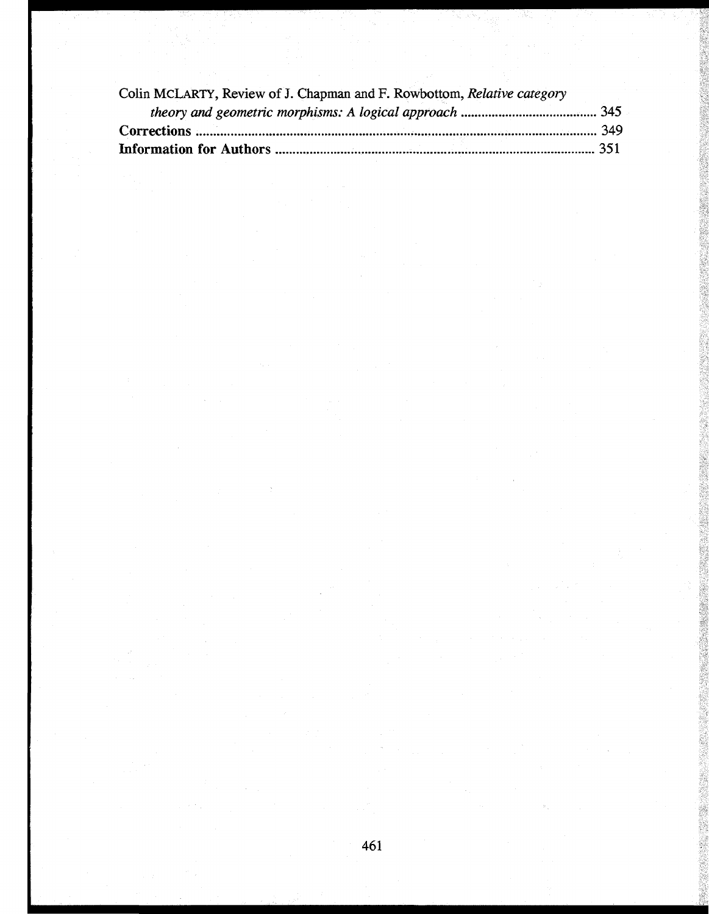| Colin MCLARTY, Review of J. Chapman and F. Rowbottom, Relative category |  |
|-------------------------------------------------------------------------|--|
|                                                                         |  |
|                                                                         |  |
|                                                                         |  |
|                                                                         |  |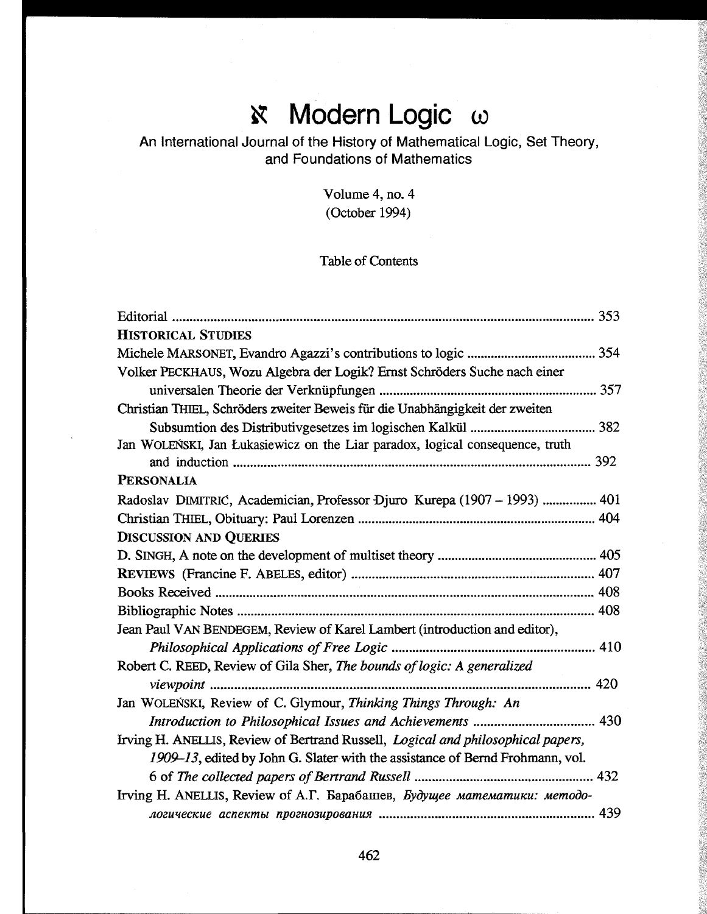# $\aleph$  Modern Logic  $\omega$

# An International Journal of the History of Mathematical Logic, Set Theory, and Foundations of Mathematics

Volume 4, no. 4 (October 1994)

## Table of Contents

| <b>HISTORICAL STUDIES</b>                                                                |
|------------------------------------------------------------------------------------------|
|                                                                                          |
| Volker PECKHAUS, Wozu Algebra der Logik? Ernst Schröders Suche nach einer                |
|                                                                                          |
| Christian THIEL, Schröders zweiter Beweis für die Unabhängigkeit der zweiten             |
|                                                                                          |
| Jan WOLEŃSKI, Jan Łukasiewicz on the Liar paradox, logical consequence, truth            |
|                                                                                          |
| <b>PERSONALIA</b>                                                                        |
| Radoslav DIMITRIC, Academician, Professor Djuro Kurepa (1907 – 1993)  401                |
|                                                                                          |
| <b>DISCUSSION AND QUERIES</b>                                                            |
|                                                                                          |
|                                                                                          |
|                                                                                          |
|                                                                                          |
| Jean Paul VAN BENDEGEM, Review of Karel Lambert (introduction and editor),               |
|                                                                                          |
| Robert C. REED, Review of Gila Sher, The bounds of logic: A generalized                  |
| 420                                                                                      |
| Jan WOLEŃSKI, Review of C. Glymour, Thinking Things Through: An                          |
|                                                                                          |
| Irving H. ANELLIS, Review of Bertrand Russell, <i>Logical and philosophical papers</i> , |
| 1909–13, edited by John G. Slater with the assistance of Bernd Frohmann, vol.            |
|                                                                                          |
| Irving H. ANELLIS, Review of A.T. Барабашев, Будущее математики: методо-                 |
|                                                                                          |